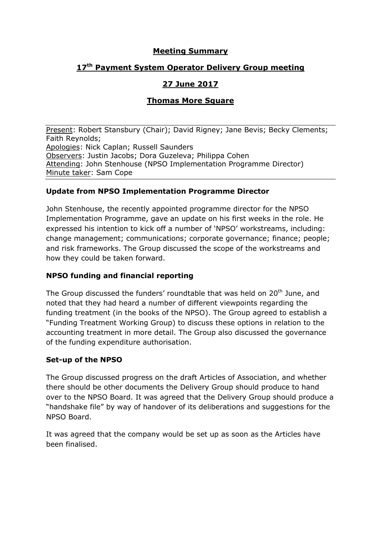### **Meeting Summary**

# **17 th Payment System Operator Delivery Group meeting**

# **27 June 2017**

# **Thomas More Square**

Present: Robert Stansbury (Chair); David Rigney; Jane Bevis; Becky Clements; Faith Reynolds; Apologies: Nick Caplan; Russell Saunders Observers: Justin Jacobs; Dora Guzeleva; Philippa Cohen Attending: John Stenhouse (NPSO Implementation Programme Director) Minute taker: Sam Cope

#### **Update from NPSO Implementation Programme Director**

John Stenhouse, the recently appointed programme director for the NPSO Implementation Programme, gave an update on his first weeks in the role. He expressed his intention to kick off a number of 'NPSO' workstreams, including: change management; communications; corporate governance; finance; people; and risk frameworks. The Group discussed the scope of the workstreams and how they could be taken forward.

# **NPSO funding and financial reporting**

The Group discussed the funders' roundtable that was held on 20<sup>th</sup> June, and noted that they had heard a number of different viewpoints regarding the funding treatment (in the books of the NPSO). The Group agreed to establish a "Funding Treatment Working Group) to discuss these options in relation to the accounting treatment in more detail. The Group also discussed the governance of the funding expenditure authorisation.

#### **Set-up of the NPSO**

The Group discussed progress on the draft Articles of Association, and whether there should be other documents the Delivery Group should produce to hand over to the NPSO Board. It was agreed that the Delivery Group should produce a "handshake file" by way of handover of its deliberations and suggestions for the NPSO Board.

It was agreed that the company would be set up as soon as the Articles have been finalised.